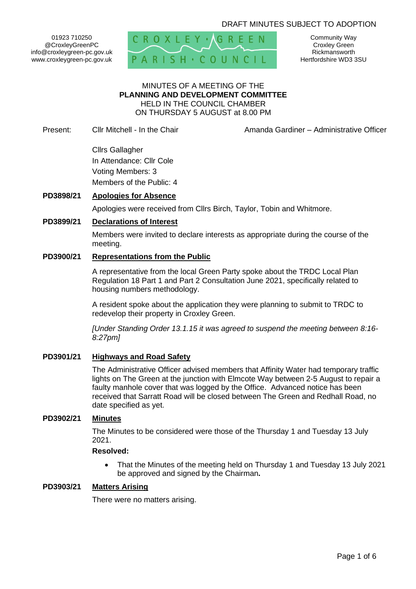## DRAFT MINUTES SUBJECT TO ADOPTION

01923 710250 @CroxleyGreenPC info@croxleygreen-pc.gov.uk www.croxleygreen-pc.gov.uk



Community Way Croxley Green Rickmansworth Hertfordshire WD3 3SU

#### MINUTES OF A MEETING OF THE **PLANNING AND DEVELOPMENT COMMITTEE** HELD IN THE COUNCIL CHAMBER ON THURSDAY 5 AUGUST at 8.00 PM

Present: Cllr Mitchell - In the Chair **Amanda Gardiner – Administrative Officer** 

Cllrs Gallagher In Attendance: Cllr Cole Voting Members: 3 Members of the Public: 4

## **PD3898/21 Apologies for Absence**

Apologies were received from Cllrs Birch, Taylor, Tobin and Whitmore.

#### **PD3899/21 Declarations of Interest**

Members were invited to declare interests as appropriate during the course of the meeting.

## **PD3900/21 Representations from the Public**

A representative from the local Green Party spoke about the TRDC Local Plan Regulation 18 Part 1 and Part 2 Consultation June 2021, specifically related to housing numbers methodology.

A resident spoke about the application they were planning to submit to TRDC to redevelop their property in Croxley Green.

*[Under Standing Order 13.1.15 it was agreed to suspend the meeting between 8:16- 8:27pm]*

## **PD3901/21 Highways and Road Safety**

The Administrative Officer advised members that Affinity Water had temporary traffic lights on The Green at the junction with Elmcote Way between 2-5 August to repair a faulty manhole cover that was logged by the Office. Advanced notice has been received that Sarratt Road will be closed between The Green and Redhall Road, no date specified as yet.

### **PD3902/21 Minutes**

The Minutes to be considered were those of the Thursday 1 and Tuesday 13 July 2021.

### **Resolved:**

• That the Minutes of the meeting held on Thursday 1 and Tuesday 13 July 2021 be approved and signed by the Chairman**.**

#### **PD3903/21 Matters Arising**

There were no matters arising.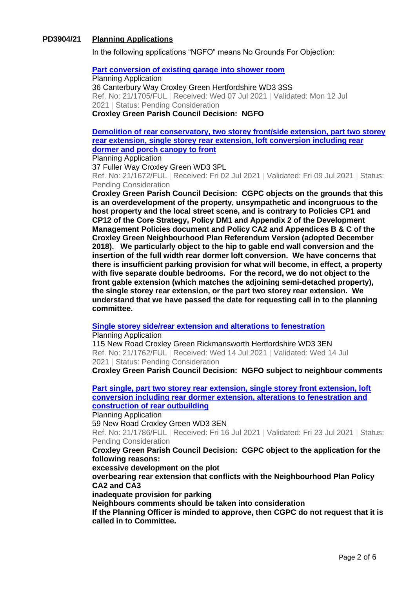## **PD3904/21 Planning Applications**

In the following applications "NGFO" means No Grounds For Objection:

#### **[Part conversion of existing garage into shower room](https://www3.threerivers.gov.uk/online-applications/applicationDetails.do?activeTab=summary&keyVal=QVV8OMQF0DC00&prevPage=inTray)**

Planning Application 36 Canterbury Way Croxley Green Hertfordshire WD3 3SS Ref. No: 21/1705/FUL | Received: Wed 07 Jul 2021 | Validated: Mon 12 Jul 2021 | Status: Pending Consideration **Croxley Green Parish Council Decision: NGFO**

## **[Demolition of rear conservatory, two storey front/side extension, part two storey](https://www3.threerivers.gov.uk/online-applications/applicationDetails.do?activeTab=summary&keyVal=QVLVJSQFGGU00&prevPage=inTray)  [rear extension, single storey rear extension, loft conversion including rear](https://www3.threerivers.gov.uk/online-applications/applicationDetails.do?activeTab=summary&keyVal=QVLVJSQFGGU00&prevPage=inTray)  [dormer and porch canopy to front](https://www3.threerivers.gov.uk/online-applications/applicationDetails.do?activeTab=summary&keyVal=QVLVJSQFGGU00&prevPage=inTray)**

Planning Application

37 Fuller Way Croxley Green WD3 3PL Ref. No: 21/1672/FUL | Received: Fri 02 Jul 2021 | Validated: Fri 09 Jul 2021 | Status: Pending Consideration

**Croxley Green Parish Council Decision: CGPC objects on the grounds that this is an overdevelopment of the property, unsympathetic and incongruous to the host property and the local street scene, and is contrary to Policies CP1 and CP12 of the Core Strategy, Policy DM1 and Appendix 2 of the Development Management Policies document and Policy CA2 and Appendices B & C of the Croxley Green Neighbourhood Plan Referendum Version (adopted December 2018). We particularly object to the hip to gable end wall conversion and the insertion of the full width rear dormer loft conversion. We have concerns that there is insufficient parking provision for what will become, in effect, a property with five separate double bedrooms. For the record, we do not object to the front gable extension (which matches the adjoining semi-detached property), the single storey rear extension, or the part two storey rear extension. We understand that we have passed the date for requesting call in to the planning committee.**

#### **[Single storey side/rear extension and alterations to fenestration](https://www3.threerivers.gov.uk/online-applications/applicationDetails.do?activeTab=summary&keyVal=QW83KHQFGL000&prevPage=inTray)**

Planning Application

115 New Road Croxley Green Rickmansworth Hertfordshire WD3 3EN Ref. No: 21/1762/FUL | Received: Wed 14 Jul 2021 | Validated: Wed 14 Jul 2021 | Status: Pending Consideration

**Croxley Green Parish Council Decision: NGFO subject to neighbour comments**

**[Part single, part two storey rear extension, single storey front extension, loft](https://www3.threerivers.gov.uk/online-applications/applicationDetails.do?activeTab=summary&keyVal=QWBSU3QFGMA00&prevPage=inTray)  [conversion including rear dormer extension, alterations to fenestration and](https://www3.threerivers.gov.uk/online-applications/applicationDetails.do?activeTab=summary&keyVal=QWBSU3QFGMA00&prevPage=inTray)  [construction of rear outbuilding](https://www3.threerivers.gov.uk/online-applications/applicationDetails.do?activeTab=summary&keyVal=QWBSU3QFGMA00&prevPage=inTray)**

Planning Application

59 New Road Croxley Green WD3 3EN

Ref. No: 21/1786/FUL | Received: Fri 16 Jul 2021 | Validated: Fri 23 Jul 2021 | Status: Pending Consideration

#### **Croxley Green Parish Council Decision: CGPC object to the application for the following reasons:**

**excessive development on the plot overbearing rear extension that conflicts with the Neighbourhood Plan Policy CA2 and CA3**

**inadequate provision for parking**

**Neighbours comments should be taken into consideration**

**If the Planning Officer is minded to approve, then CGPC do not request that it is called in to Committee.**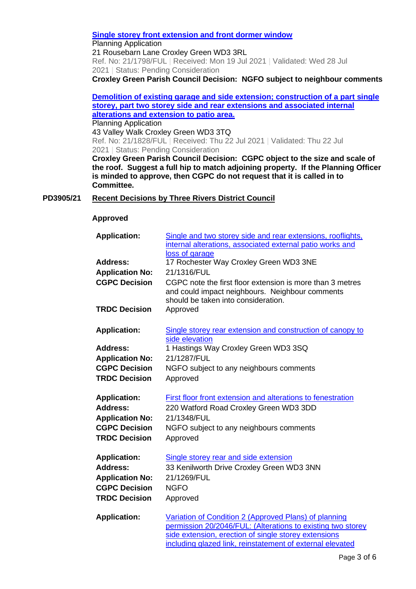#### **[Single storey front extension and front dormer window](https://www3.threerivers.gov.uk/online-applications/applicationDetails.do?activeTab=summary&keyVal=QWDNINQFGN100&prevPage=inTray)**

Planning Application

21 Rousebarn Lane Croxley Green WD3 3RL

Ref. No: 21/1798/FUL | Received: Mon 19 Jul 2021 | Validated: Wed 28 Jul 2021 | Status: Pending Consideration

**Croxley Green Parish Council Decision: NGFO subject to neighbour comments**

## **[Demolition of existing garage and side extension; construction of a part single](https://www3.threerivers.gov.uk/online-applications/applicationDetails.do?activeTab=summary&keyVal=QWMWYNQFGOQ00&prevPage=inTray)  [storey, part two storey side and rear extensions and associated internal](https://www3.threerivers.gov.uk/online-applications/applicationDetails.do?activeTab=summary&keyVal=QWMWYNQFGOQ00&prevPage=inTray)  [alterations and extension to patio area.](https://www3.threerivers.gov.uk/online-applications/applicationDetails.do?activeTab=summary&keyVal=QWMWYNQFGOQ00&prevPage=inTray)**

Planning Application 43 Valley Walk Croxley Green WD3 3TQ Ref. No: 21/1828/FUL | Received: Thu 22 Jul 2021 | Validated: Thu 22 Jul 2021 | Status: Pending Consideration

**Croxley Green Parish Council Decision: CGPC object to the size and scale of the roof. Suggest a full hip to match adjoining property. If the Planning Officer is minded to approve, then CGPC do not request that it is called in to Committee.**

## **PD3905/21 Recent Decisions by Three Rivers District Council**

#### **Approved**

| <b>Application:</b>                                                                                              | Single and two storey side and rear extensions, rooflights,<br>internal alterations, associated external patio works and<br>loss of garage                                                                                                |
|------------------------------------------------------------------------------------------------------------------|-------------------------------------------------------------------------------------------------------------------------------------------------------------------------------------------------------------------------------------------|
| <b>Address:</b>                                                                                                  | 17 Rochester Way Croxley Green WD3 3NE                                                                                                                                                                                                    |
| <b>Application No:</b>                                                                                           | 21/1316/FUL                                                                                                                                                                                                                               |
| <b>CGPC Decision</b>                                                                                             | CGPC note the first floor extension is more than 3 metres<br>and could impact neighbours. Neighbour comments<br>should be taken into consideration.                                                                                       |
| <b>TRDC Decision</b>                                                                                             | Approved                                                                                                                                                                                                                                  |
| <b>Application:</b>                                                                                              | Single storey rear extension and construction of canopy to<br>side elevation                                                                                                                                                              |
| <b>Address:</b>                                                                                                  | 1 Hastings Way Croxley Green WD3 3SQ                                                                                                                                                                                                      |
| <b>Application No:</b>                                                                                           | 21/1287/FUL                                                                                                                                                                                                                               |
| <b>CGPC Decision</b>                                                                                             | NGFO subject to any neighbours comments                                                                                                                                                                                                   |
| <b>TRDC Decision</b>                                                                                             | Approved                                                                                                                                                                                                                                  |
| <b>Application:</b><br><b>Address:</b><br><b>Application No:</b><br><b>CGPC Decision</b><br><b>TRDC Decision</b> | First floor front extension and alterations to fenestration<br>220 Watford Road Croxley Green WD3 3DD<br>21/1348/FUL<br>NGFO subject to any neighbours comments<br>Approved                                                               |
| <b>Application:</b><br>Address:<br><b>Application No:</b><br><b>CGPC Decision</b><br><b>TRDC Decision</b>        | Single storey rear and side extension<br>33 Kenilworth Drive Croxley Green WD3 3NN<br>21/1269/FUL<br><b>NGFO</b><br>Approved                                                                                                              |
| <b>Application:</b>                                                                                              | Variation of Condition 2 (Approved Plans) of planning<br>permission 20/2046/FUL: (Alterations to existing two storey<br>side extension, erection of single storey extensions<br>including glazed link, reinstatement of external elevated |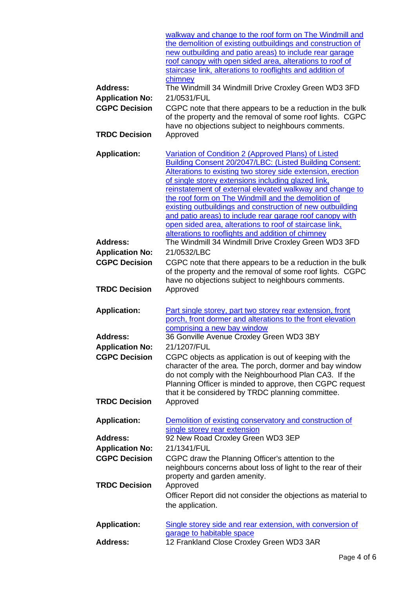|                        | walkway and change to the roof form on The Windmill and       |
|------------------------|---------------------------------------------------------------|
|                        | the demolition of existing outbuildings and construction of   |
|                        | new outbuilding and patio areas) to include rear garage       |
|                        | roof canopy with open sided area, alterations to roof of      |
|                        | staircase link, alterations to rooflights and addition of     |
|                        | chimney                                                       |
| <b>Address:</b>        | The Windmill 34 Windmill Drive Croxley Green WD3 3FD          |
| <b>Application No:</b> | 21/0531/FUL                                                   |
| <b>CGPC Decision</b>   | CGPC note that there appears to be a reduction in the bulk    |
|                        | of the property and the removal of some roof lights. CGPC     |
|                        | have no objections subject to neighbours comments.            |
| <b>TRDC Decision</b>   | Approved                                                      |
| <b>Application:</b>    | Variation of Condition 2 (Approved Plans) of Listed           |
|                        | Building Consent 20/2047/LBC: (Listed Building Consent:       |
|                        | Alterations to existing two storey side extension, erection   |
|                        | of single storey extensions including glazed link,            |
|                        | reinstatement of external elevated walkway and change to      |
|                        | the roof form on The Windmill and the demolition of           |
|                        | existing outbuildings and construction of new outbuilding     |
|                        | and patio areas) to include rear garage roof canopy with      |
|                        | open sided area, alterations to roof of staircase link,       |
|                        | alterations to rooflights and addition of chimney             |
| <b>Address:</b>        | The Windmill 34 Windmill Drive Croxley Green WD3 3FD          |
| <b>Application No:</b> | 21/0532/LBC                                                   |
| <b>CGPC Decision</b>   | CGPC note that there appears to be a reduction in the bulk    |
|                        | of the property and the removal of some roof lights. CGPC     |
|                        | have no objections subject to neighbours comments.            |
| <b>TRDC Decision</b>   | Approved                                                      |
|                        |                                                               |
| <b>Application:</b>    | Part single storey, part two storey rear extension, front     |
|                        | porch, front dormer and alterations to the front elevation    |
|                        | comprising a new bay window                                   |
| <b>Address:</b>        | 36 Gonville Avenue Croxley Green WD3 3BY                      |
| <b>Application No:</b> | 21/1207/FUL                                                   |
| <b>CGPC Decision</b>   | CGPC objects as application is out of keeping with the        |
|                        | character of the area. The porch, dormer and bay window       |
|                        | do not comply with the Neighbourhood Plan CA3. If the         |
|                        | Planning Officer is minded to approve, then CGPC request      |
|                        | that it be considered by TRDC planning committee.             |
| <b>TRDC Decision</b>   | Approved                                                      |
|                        |                                                               |
| <b>Application:</b>    | Demolition of existing conservatory and construction of       |
|                        | single storey rear extension                                  |
| <b>Address:</b>        | 92 New Road Croxley Green WD3 3EP                             |
| <b>Application No:</b> | 21/1341/FUL                                                   |
| <b>CGPC Decision</b>   | CGPC draw the Planning Officer's attention to the             |
|                        | neighbours concerns about loss of light to the rear of their  |
|                        | property and garden amenity.                                  |
| <b>TRDC Decision</b>   | Approved                                                      |
|                        | Officer Report did not consider the objections as material to |
|                        | the application.                                              |
|                        |                                                               |
| <b>Application:</b>    | Single storey side and rear extension, with conversion of     |
|                        | garage to habitable space                                     |
| <b>Address:</b>        | 12 Frankland Close Croxley Green WD3 3AR                      |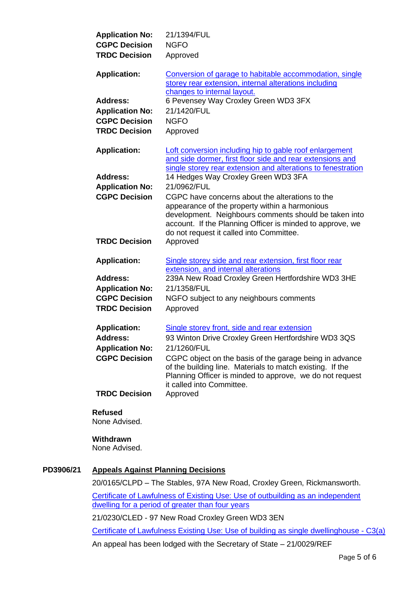| <b>Application No:</b> | 21/1394/FUL                                                                                                                                                                                                                                                         |
|------------------------|---------------------------------------------------------------------------------------------------------------------------------------------------------------------------------------------------------------------------------------------------------------------|
| <b>CGPC Decision</b>   | <b>NGFO</b>                                                                                                                                                                                                                                                         |
| <b>TRDC Decision</b>   | Approved                                                                                                                                                                                                                                                            |
| <b>Application:</b>    | Conversion of garage to habitable accommodation, single<br>storey rear extension, internal alterations including<br>changes to internal layout.                                                                                                                     |
| <b>Address:</b>        | 6 Pevensey Way Croxley Green WD3 3FX                                                                                                                                                                                                                                |
| <b>Application No:</b> | 21/1420/FUL                                                                                                                                                                                                                                                         |
| <b>CGPC Decision</b>   | <b>NGFO</b>                                                                                                                                                                                                                                                         |
| <b>TRDC Decision</b>   | Approved                                                                                                                                                                                                                                                            |
| <b>Application:</b>    | Loft conversion including hip to gable roof enlargement<br>and side dormer, first floor side and rear extensions and<br>single storey rear extension and alterations to fenestration                                                                                |
| <b>Address:</b>        | 14 Hedges Way Croxley Green WD3 3FA                                                                                                                                                                                                                                 |
| <b>Application No:</b> | 21/0962/FUL                                                                                                                                                                                                                                                         |
| <b>CGPC Decision</b>   | CGPC have concerns about the alterations to the<br>appearance of the property within a harmonious<br>development. Neighbours comments should be taken into<br>account. If the Planning Officer is minded to approve, we<br>do not request it called into Committee. |
| <b>TRDC Decision</b>   | Approved                                                                                                                                                                                                                                                            |
| <b>Application:</b>    | Single storey side and rear extension, first floor rear<br>extension, and internal alterations                                                                                                                                                                      |
| <b>Address:</b>        | 239A New Road Croxley Green Hertfordshire WD3 3HE                                                                                                                                                                                                                   |
| <b>Application No:</b> | 21/1358/FUL                                                                                                                                                                                                                                                         |
| <b>CGPC Decision</b>   | NGFO subject to any neighbours comments                                                                                                                                                                                                                             |
| <b>TRDC Decision</b>   | Approved                                                                                                                                                                                                                                                            |
| <b>Application:</b>    | Single storey front, side and rear extension                                                                                                                                                                                                                        |
| <b>Address:</b>        | 93 Winton Drive Croxley Green Hertfordshire WD3 3QS                                                                                                                                                                                                                 |
| <b>Application No:</b> | 21/1260/FUL                                                                                                                                                                                                                                                         |
| <b>CGPC Decision</b>   | CGPC object on the basis of the garage being in advance<br>of the building line. Materials to match existing. If the<br>Planning Officer is minded to approve, we do not request<br>it called into Committee.                                                       |
| <b>TRDC Decision</b>   | Approved                                                                                                                                                                                                                                                            |
|                        |                                                                                                                                                                                                                                                                     |

# **Refused**

None Advised.

## **Withdrawn**

None Advised.

## **PD3906/21 Appeals Against Planning Decisions**

20/0165/CLPD – The Stables, 97A New Road, Croxley Green, Rickmansworth.

[Certificate of Lawfulness of Existing Use: Use of outbuilding as an independent](https://www3.threerivers.gov.uk/online-applications/applicationDetails.do?activeTab=summary&keyVal=Q4T4XRQFHX800&prevPage=inTray)  [dwelling for a period of greater than four years](https://www3.threerivers.gov.uk/online-applications/applicationDetails.do?activeTab=summary&keyVal=Q4T4XRQFHX800&prevPage=inTray)

21/0230/CLED - 97 New Road Croxley Green WD3 3EN

[Certificate of Lawfulness Existing Use: Use of](https://www3.threerivers.gov.uk/online-applications/applicationDetails.do?activeTab=summary&keyVal=QNYC1WQFM5J00&prevPage=inTray) building as single dwellinghouse - C3(a)

An appeal has been lodged with the Secretary of State – 21/0029/REF